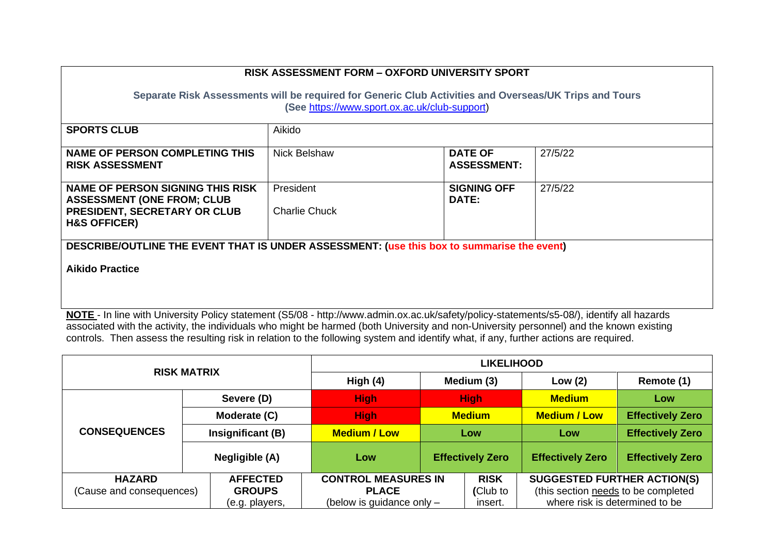| <b>SPORTS CLUB</b><br>Aikido                                                                                                            |                                   |                                      |         |  |  |
|-----------------------------------------------------------------------------------------------------------------------------------------|-----------------------------------|--------------------------------------|---------|--|--|
| NAME OF PERSON COMPLETING THIS<br><b>RISK ASSESSMENT</b>                                                                                | Nick Belshaw                      | <b>DATE OF</b><br><b>ASSESSMENT:</b> | 27/5/22 |  |  |
| NAME OF PERSON SIGNING THIS RISK<br><b>ASSESSMENT (ONE FROM; CLUB</b><br><b>PRESIDENT, SECRETARY OR CLUB</b><br><b>H&amp;S OFFICER)</b> | President<br><b>Charlie Chuck</b> | <b>SIGNING OFF</b><br><b>DATE:</b>   | 27/5/22 |  |  |
| DESCRIBE/OUTLINE THE EVENT THAT IS UNDER ASSESSMENT: (use this box to summarise the event)<br><b>Aikido Practice</b>                    |                                   |                                      |         |  |  |

**NOTE** - In line with University Policy statement (S5/08 - http://www.admin.ox.ac.uk/safety/policy-statements/s5-08/), identify all hazards associated with the activity, the individuals who might be harmed (both University and non-University personnel) and the known existing controls. Then assess the resulting risk in relation to the following system and identify what, if any, further actions are required.

| <b>RISK MATRIX</b>                        |                   | <b>LIKELIHOOD</b>          |  |                         |                                     |                         |
|-------------------------------------------|-------------------|----------------------------|--|-------------------------|-------------------------------------|-------------------------|
|                                           |                   | High (4)                   |  | Medium (3)              | Low $(2)$                           | Remote (1)              |
|                                           | Severe (D)        | <b>High</b>                |  | <b>High</b>             | <b>Medium</b>                       | Low                     |
|                                           | Moderate (C)      | <b>High</b>                |  | <b>Medium</b>           | <b>Medium / Low</b>                 | <b>Effectively Zero</b> |
| <b>CONSEQUENCES</b>                       | Insignificant (B) | <b>Medium / Low</b>        |  | Low                     | Low                                 | <b>Effectively Zero</b> |
|                                           | Negligible (A)    | Low                        |  | <b>Effectively Zero</b> | <b>Effectively Zero</b>             | <b>Effectively Zero</b> |
| <b>HAZARD</b>                             | <b>AFFECTED</b>   | <b>CONTROL MEASURES IN</b> |  | <b>RISK</b>             | <b>SUGGESTED FURTHER ACTION(S)</b>  |                         |
| <b>GROUPS</b><br>(Cause and consequences) |                   | <b>PLACE</b>               |  | (Club to                | (this section needs to be completed |                         |
|                                           | (e.g. players,    | (below is guidance only -  |  | insert.                 | where risk is determined to be      |                         |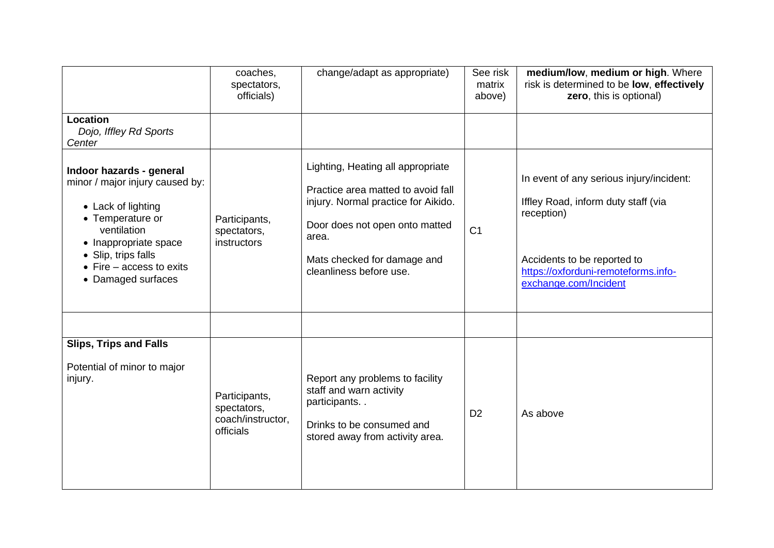|                                                                                                                                                                                                                                | coaches,<br>spectators,<br>officials)                          | change/adapt as appropriate)                                                                                                                                                                                        | See risk<br>matrix<br>above) | medium/low, medium or high. Where<br>risk is determined to be low, effectively<br>zero, this is optional)                                                                                    |
|--------------------------------------------------------------------------------------------------------------------------------------------------------------------------------------------------------------------------------|----------------------------------------------------------------|---------------------------------------------------------------------------------------------------------------------------------------------------------------------------------------------------------------------|------------------------------|----------------------------------------------------------------------------------------------------------------------------------------------------------------------------------------------|
| Location<br>Dojo, Iffley Rd Sports<br>Center                                                                                                                                                                                   |                                                                |                                                                                                                                                                                                                     |                              |                                                                                                                                                                                              |
| Indoor hazards - general<br>minor / major injury caused by:<br>• Lack of lighting<br>• Temperature or<br>ventilation<br>• Inappropriate space<br>• Slip, trips falls<br>$\bullet$ Fire – access to exits<br>• Damaged surfaces | Participants,<br>spectators,<br>instructors                    | Lighting, Heating all appropriate<br>Practice area matted to avoid fall<br>injury. Normal practice for Aikido.<br>Door does not open onto matted<br>area.<br>Mats checked for damage and<br>cleanliness before use. | C <sub>1</sub>               | In event of any serious injury/incident:<br>Iffley Road, inform duty staff (via<br>reception)<br>Accidents to be reported to<br>https://oxforduni-remoteforms.info-<br>exchange.com/Incident |
|                                                                                                                                                                                                                                |                                                                |                                                                                                                                                                                                                     |                              |                                                                                                                                                                                              |
| <b>Slips, Trips and Falls</b><br>Potential of minor to major<br>injury.                                                                                                                                                        | Participants,<br>spectators,<br>coach/instructor,<br>officials | Report any problems to facility<br>staff and warn activity<br>participants<br>Drinks to be consumed and<br>stored away from activity area.                                                                          | D <sub>2</sub>               | As above                                                                                                                                                                                     |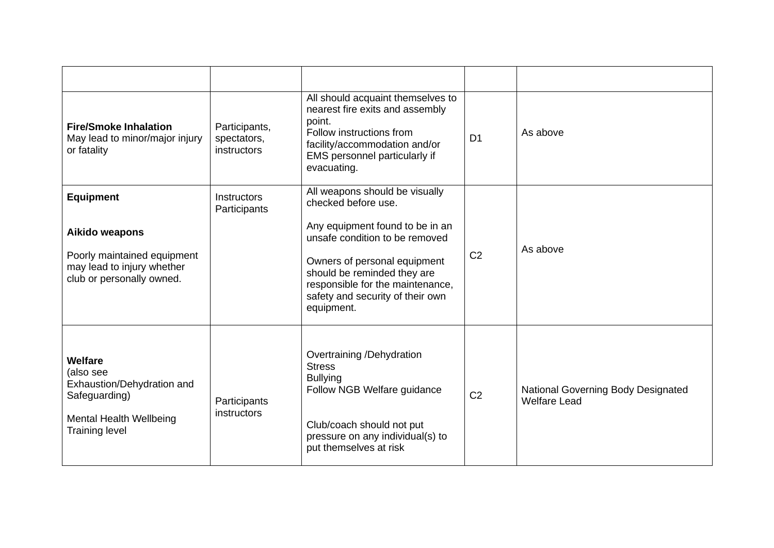| <b>Fire/Smoke Inhalation</b><br>May lead to minor/major injury<br>or fatality          | Participants,<br>spectators,<br>instructors | All should acquaint themselves to<br>nearest fire exits and assembly<br>point.<br>Follow instructions from<br>facility/accommodation and/or<br>EMS personnel particularly if<br>evacuating. | D <sub>1</sub> | As above                                                  |
|----------------------------------------------------------------------------------------|---------------------------------------------|---------------------------------------------------------------------------------------------------------------------------------------------------------------------------------------------|----------------|-----------------------------------------------------------|
| <b>Equipment</b>                                                                       | <b>Instructors</b><br>Participants          | All weapons should be visually<br>checked before use.                                                                                                                                       |                |                                                           |
| Aikido weapons                                                                         |                                             | Any equipment found to be in an<br>unsafe condition to be removed                                                                                                                           |                | As above                                                  |
| Poorly maintained equipment<br>may lead to injury whether<br>club or personally owned. |                                             | Owners of personal equipment<br>should be reminded they are<br>responsible for the maintenance,<br>safety and security of their own<br>equipment.                                           | C <sub>2</sub> |                                                           |
| Welfare<br>(also see<br>Exhaustion/Dehydration and<br>Safeguarding)                    | Participants                                | Overtraining /Dehydration<br><b>Stress</b><br><b>Bullying</b><br>Follow NGB Welfare guidance                                                                                                | C <sub>2</sub> | National Governing Body Designated<br><b>Welfare Lead</b> |
| instructors<br><b>Mental Health Wellbeing</b><br><b>Training level</b>                 |                                             | Club/coach should not put<br>pressure on any individual(s) to<br>put themselves at risk                                                                                                     |                |                                                           |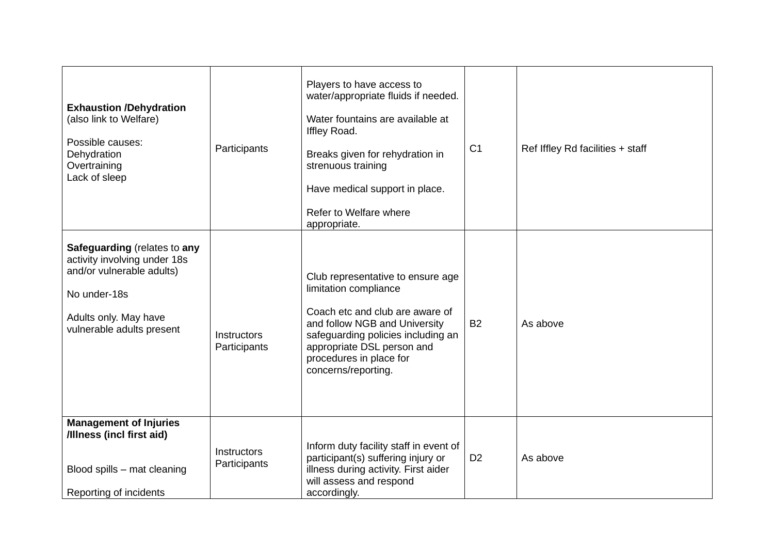| <b>Exhaustion /Dehydration</b><br>(also link to Welfare)<br>Possible causes:<br>Dehydration<br>Overtraining<br>Lack of sleep                                           | Participants                       | Players to have access to<br>water/appropriate fluids if needed.<br>Water fountains are available at<br>Iffley Road.<br>Breaks given for rehydration in<br>strenuous training<br>Have medical support in place.<br>Refer to Welfare where<br>appropriate. | C <sub>1</sub> | Ref Iffley Rd facilities + staff |
|------------------------------------------------------------------------------------------------------------------------------------------------------------------------|------------------------------------|-----------------------------------------------------------------------------------------------------------------------------------------------------------------------------------------------------------------------------------------------------------|----------------|----------------------------------|
| <b>Safeguarding (relates to any</b><br>activity involving under 18s<br>and/or vulnerable adults)<br>No under-18s<br>Adults only. May have<br>vulnerable adults present | Instructors<br>Participants        | Club representative to ensure age<br>limitation compliance<br>Coach etc and club are aware of<br>and follow NGB and University<br>safeguarding policies including an<br>appropriate DSL person and<br>procedures in place for<br>concerns/reporting.      | <b>B2</b>      | As above                         |
| <b>Management of Injuries</b><br>/Illness (incl first aid)<br>Blood spills - mat cleaning<br>Reporting of incidents                                                    | <b>Instructors</b><br>Participants | Inform duty facility staff in event of<br>participant(s) suffering injury or<br>illness during activity. First aider<br>will assess and respond<br>accordingly.                                                                                           | D <sub>2</sub> | As above                         |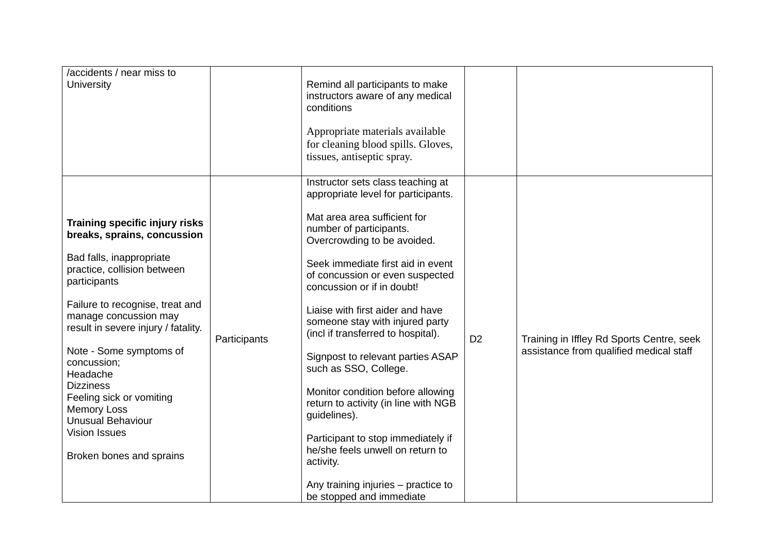| /accidents / near miss to<br>University                                                         |              | Remind all participants to make<br>instructors aware of any medical<br>conditions                         |                |                                           |
|-------------------------------------------------------------------------------------------------|--------------|-----------------------------------------------------------------------------------------------------------|----------------|-------------------------------------------|
|                                                                                                 |              | Appropriate materials available<br>for cleaning blood spills. Gloves,<br>tissues, antiseptic spray.       |                |                                           |
|                                                                                                 |              | Instructor sets class teaching at<br>appropriate level for participants.                                  |                |                                           |
| Training specific injury risks<br>breaks, sprains, concussion                                   |              | Mat area area sufficient for<br>number of participants.<br>Overcrowding to be avoided.                    |                |                                           |
| Bad falls, inappropriate<br>practice, collision between<br>participants                         |              | Seek immediate first aid in event<br>of concussion or even suspected<br>concussion or if in doubt!        |                |                                           |
| Failure to recognise, treat and<br>manage concussion may<br>result in severe injury / fatality. | Participants | Liaise with first aider and have<br>someone stay with injured party<br>(incl if transferred to hospital). | D <sub>2</sub> | Training in Iffley Rd Sports Centre, seek |
| Note - Some symptoms of<br>concussion;<br>Headache                                              |              | Signpost to relevant parties ASAP<br>such as SSO, College.                                                |                | assistance from qualified medical staff   |
| <b>Dizziness</b><br>Feeling sick or vomiting<br><b>Memory Loss</b><br><b>Unusual Behaviour</b>  |              | Monitor condition before allowing<br>return to activity (in line with NGB<br>guidelines).                 |                |                                           |
| <b>Vision Issues</b><br>Broken bones and sprains                                                |              | Participant to stop immediately if<br>he/she feels unwell on return to<br>activity.                       |                |                                           |
|                                                                                                 |              | Any training injuries - practice to<br>be stopped and immediate                                           |                |                                           |